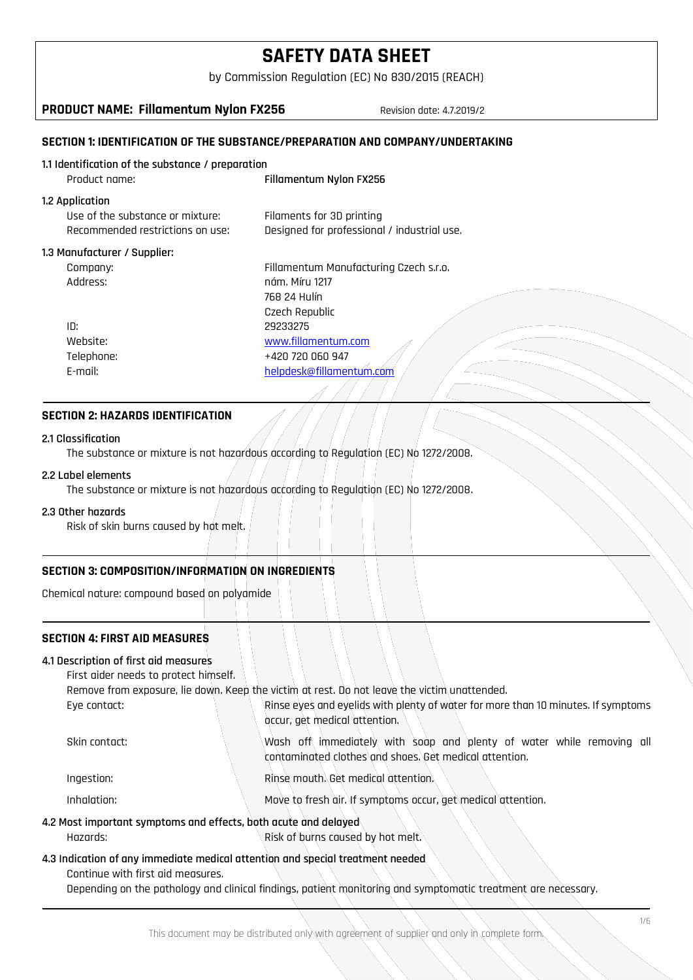by Commission Regulation (EC) No 830/2015 (REACH)

**PRODUCT NAME: Fillamentum Nylon FX256** Revision date: 4.7.2019/2

# **SECTION 1: IDENTIFICATION OF THE SUBSTANCE/PREPARATION AND COMPANY/UNDERTAKING**

### **1.1 Identification of the substance / preparation**

| Product name:                                                                           | Fillamentum Nylon FX256                                                  |
|-----------------------------------------------------------------------------------------|--------------------------------------------------------------------------|
| 1.2 Application<br>Use of the substance or mixture:<br>Recommended restrictions on use: | Filaments for 3D printing<br>Designed for professional / industrial use. |
| 1.3 Manufacturer / Supplier:                                                            |                                                                          |
| Company:                                                                                | Fillamentum Manufacturing Czech s.r.o.                                   |
| :Address                                                                                | nám. Míru 1217                                                           |
|                                                                                         | 768 24 Hulín                                                             |
|                                                                                         | Czech Republic                                                           |
| ID:                                                                                     | 29233275                                                                 |
| Website:                                                                                | www.fillamentum.com                                                      |
| Telephone:                                                                              | +420 720 060 947                                                         |
| E-mail:                                                                                 | helpdesk@fillamentum.com                                                 |
|                                                                                         |                                                                          |

### **SECTION 2: HAZARDS IDENTIFICATION**

### **2.1 Classification**

The substance or mixture is not hazardous according to Regulation (EC) No 1272/2008.

### **2.2 Label elements**

The substance or mixture is not hazardous according to Regulation (EC) No 1272/2008.

### **2.3 Other hazards**

Risk of skin burns caused by hot melt.

# **SECTION 3: COMPOSITION/INFORMATION ON INGREDIENTS**

Chemical nature: compound based on polyamide

# **SECTION 4: FIRST AID MEASURES**

### **4.1 Description of first aid measures**

First aider needs to protect himself.

Remove from exposure, lie down. Keep the victim at rest. Do not leave the victim unattended.

| Eve contact:  | Rinse eyes and eyelids with plenty of water for more than 10 minutes. If symptoms<br>occur, get medical attention.              |
|---------------|---------------------------------------------------------------------------------------------------------------------------------|
| Skin contact: | Wash off immediately with soap and plenty of water while removing all<br>contaminated clothes and shoes. Get medical attention. |

### Ingestion: Rinse mouth. Get medical attention.

| Inhalation: | Move to fresh air. If symptoms occur, get medical attention. |
|-------------|--------------------------------------------------------------|
|-------------|--------------------------------------------------------------|

### **4.2 Most important symptoms and effects, both acute and delayed**

Hazards: Risk of burns caused by hot melt.

## **4.3 Indication of any immediate medical attention and special treatment needed** Continue with first aid measures.

Depending on the pathology and clinical findings, patient monitoring and symptomatic treatment are necessary.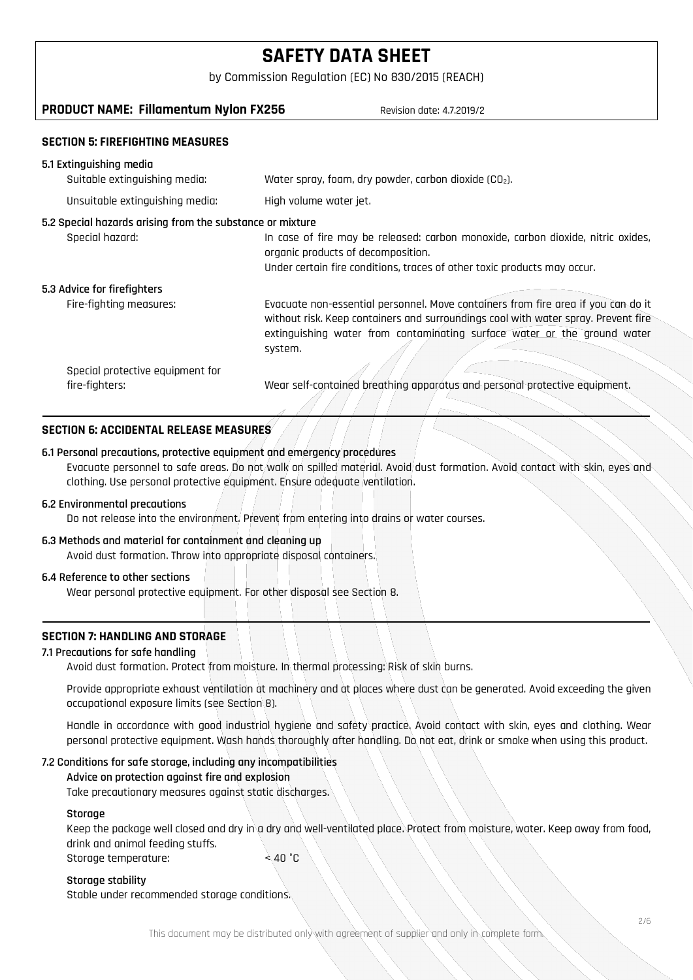by Commission Regulation (EC) No 830/2015 (REACH)

# **PRODUCT NAME: Fillamentum Nylon FX256** Revision date: 4.7.2019/2

### **SECTION 5: FIREFIGHTING MEASURES**

| 5.1 Extinguishing media                                                      |                                                                                                                                                                                                                                                                |
|------------------------------------------------------------------------------|----------------------------------------------------------------------------------------------------------------------------------------------------------------------------------------------------------------------------------------------------------------|
| Suitable extinguishing media:                                                | Water spray, foam, dry powder, carbon dioxide $(CD2)$ .                                                                                                                                                                                                        |
| Unsuitable extinguishing media:                                              | High volume water jet.                                                                                                                                                                                                                                         |
| 5.2 Special hazards arising from the substance or mixture<br>Special hazard: | In case of fire may be released: carbon monoxide, carbon dioxide, nitric oxides,<br>organic products of decomposition.<br>Under certain fire conditions, traces of other toxic products may occur.                                                             |
| 5.3 Advice for firefighters                                                  |                                                                                                                                                                                                                                                                |
| Fire-fighting measures:                                                      | Evacuate non-essential personnel. Move containers from fire area if you can do it<br>without risk. Keep containers and surroundings cool with water spray. Prevent fire<br>extinguishing water from contaminating surface water or the ground water<br>system. |
| Special protective equipment for<br>fire-fighters:                           | Wear self-contained breathing apparatus and personal protective equipment.                                                                                                                                                                                     |

# **SECTION 6: ACCIDENTAL RELEASE MEASURES**

### **6.1 Personal precautions, protective equipment and emergency procedures**

Evacuate personnel to safe areas. Do not walk on spilled material. Avoid dust formation. Avoid contact with skin, eyes and clothing. Use personal protective equipment. Ensure adequate ventilation.

### **6.2 Environmental precautions**

Do not release into the environment. Prevent from entering into drains or water courses.

### **6.3 Methods and material for containment and cleaning up**

Avoid dust formation. Throw into appropriate disposal containers.

### **6.4 Reference to other sections**

Wear personal protective equipment. For other disposal see Section 8.

### **SECTION 7: HANDLING AND STORAGE**

### **7.1 Precautions for safe handling**

Avoid dust formation. Protect from moisture. In thermal processing: Risk of skin burns.

Provide appropriate exhaust ventilation at machinery and at places where dust can be generated. Avoid exceeding the given occupational exposure limits (see Section 8).

Handle in accordance with good industrial hygiene and safety practice. Avoid contact with skin, eyes and clothing. Wear personal protective equipment. Wash hands thoroughly after handling. Do not eat, drink or smoke when using this product.

### **7.2 Conditions for safe storage, including any incompatibilities**

### **Advice on protection against fire and explosion**

Take precautionary measures against static discharges.

### **Storage**

Keep the package well closed and dry in a dry and well-ventilated place. Protect from moisture, water. Keep away from food, drink and animal feeding stuffs.

Storage temperature: < 40 °C

### **Storage stability**

Stable under recommended storage conditions.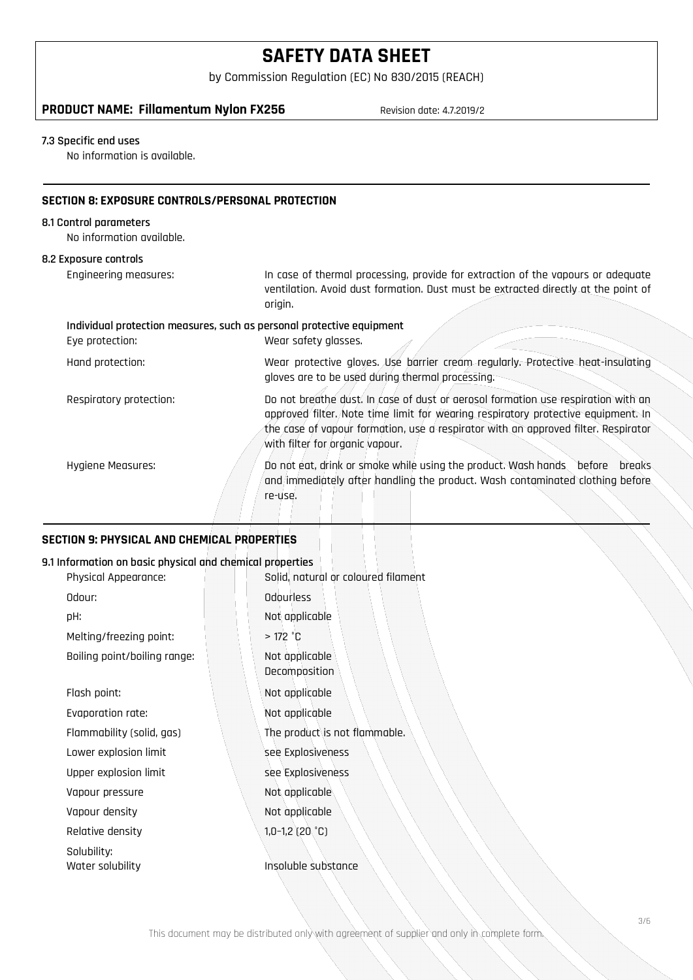by Commission Regulation (EC) No 830/2015 (REACH)

# **PRODUCT NAME: Fillamentum Nylon FX256** Revision date: 4.7.2019/2

## **7.3 Specific end uses**

No information is available.

### **SECTION 8: EXPOSURE CONTROLS/PERSONAL PROTECTION**

## **8.1 Control parameters**

No information available.

# **8.2 Exposure controls**

| כ בעוונוט און <b>איז אז אז געש</b>                                                       |                                                                                                                                                                                                                                                                                                 |
|------------------------------------------------------------------------------------------|-------------------------------------------------------------------------------------------------------------------------------------------------------------------------------------------------------------------------------------------------------------------------------------------------|
| <b>Engineering measures:</b>                                                             | In case of thermal processing, provide for extraction of the vapours or adequate<br>ventilation. Avoid dust formation. Dust must be extracted directly at the point of<br>origin.                                                                                                               |
| Individual protection measures, such as personal protective equipment<br>Eye protection: | Wear safety glasses.                                                                                                                                                                                                                                                                            |
| Hand protection:                                                                         | Wear protective gloves. Use barrier cream regularly. Protective heat-insulating<br>gloves are to be used during thermal processing.                                                                                                                                                             |
| Respiratory protection:                                                                  | Do not breathe dust. In case of dust or aerosol formation use respiration with an<br>approved filter. Note time limit for wearing respiratory protective equipment. In<br>the case of vapour formation, use a respirator with an approved filter. Respirator<br>with filter for organic vapour. |
| Hygiene Measures:                                                                        | Do not eat, drink or smoke while using the product. Wash hands before<br>breaks.<br>and immediately after handling the product. Wash contaminated clothing before<br>re-use.                                                                                                                    |

### **SECTION 9: PHYSICAL AND CHEMICAL PROPERTIES**

### **9.1 Information on basic physical and chemical properties**

| Physical Appearance:         | Solid, natural or coloured filament |
|------------------------------|-------------------------------------|
| Odour:                       | Odourless                           |
| pH:                          | Not applicable                      |
| Melting/freezing point:      | $>172$ °C                           |
| Boiling point/boiling range: | Not applicable<br>Decomposition     |
| Flash point:                 | Not applicable                      |
| Evaporation rate:            | Not applicable                      |
| Flammability (solid, gas)    | The product is not flammable.       |
| Lower explosion limit        | see Explosiveness                   |
| Upper explosion limit        | see Explosiveness                   |
| Vapour pressure              | Not applicable                      |
| Vapour density               | Not applicable                      |
| Relative density             | $1,0-1,2$ (20 °C)                   |
| Solubility:                  |                                     |
| Water solubility             | Insoluble substance                 |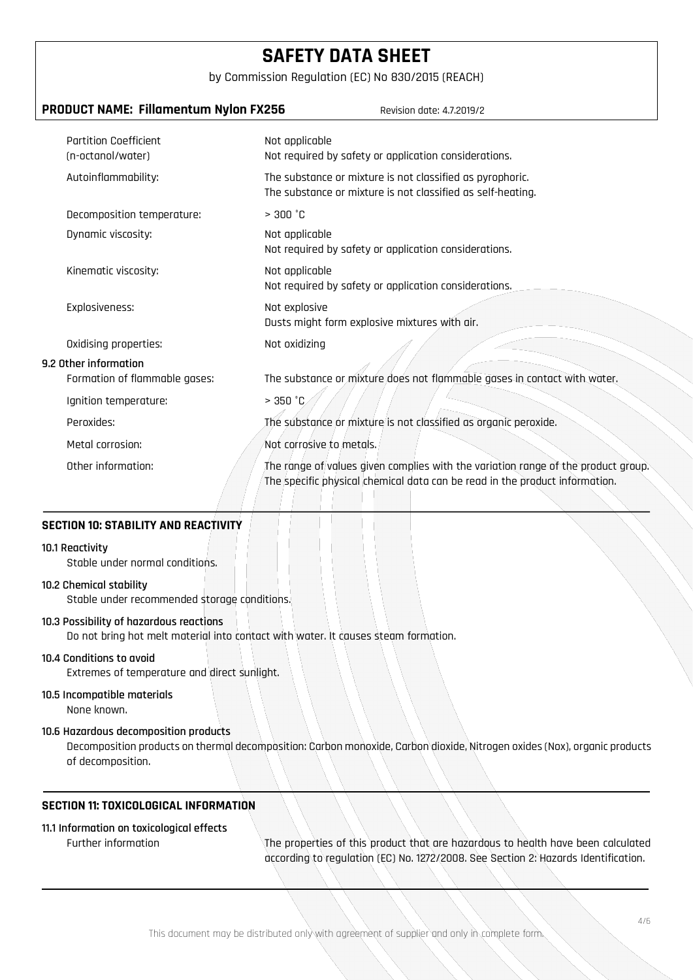by Commission Regulation (EC) No 830/2015 (REACH)

| PRODUCT NAME: Fillamentum Nylon FX256<br>Revision date: 4.7.2019/2 |                                                                                                                                                                  |  |
|--------------------------------------------------------------------|------------------------------------------------------------------------------------------------------------------------------------------------------------------|--|
| <b>Partition Coefficient</b><br>(n-octanol/water)                  | Not applicable<br>Not required by safety or application considerations.                                                                                          |  |
| Autoinflammability:                                                | The substance or mixture is not classified as pyrophoric.<br>The substance or mixture is not classified as self-heating.                                         |  |
| Decomposition temperature:                                         | > 300 °C                                                                                                                                                         |  |
| Dynamic viscosity:                                                 | Not applicable<br>Not required by safety or application considerations.                                                                                          |  |
| Kinematic viscosity:                                               | Not applicable<br>Not required by safety or application considerations.                                                                                          |  |
| Explosiveness:                                                     | Not explosive<br>Dusts might form explosive mixtures with air.                                                                                                   |  |
| Oxidising properties:                                              | Not oxidizing                                                                                                                                                    |  |
| 9.2 Other information<br>Formation of flammable gases:             | The substance or mixture does not flammable gases in contact with water.                                                                                         |  |
| Ignition temperature:                                              | > 350 °C                                                                                                                                                         |  |
| Peroxides:                                                         | The substance or mixture is not classified as organic peroxide.                                                                                                  |  |
| Metal corrosion:                                                   | Not corrosive to metals.                                                                                                                                         |  |
| Other information:                                                 | The range of values given complies with the variation range of the product group.<br>The specific physical chemical data can be read in the product information. |  |

### **SECTION 10: STABILITY AND REACTIVITY**

### **10.1 Reactivity**

Stable under normal conditions.

### **10.2 Chemical stability**

Stable under recommended storage conditions.

### **10.3 Possibility of hazardous reactions**

Do not bring hot melt material into contact with water. It causes steam formation.

### **10.4 Conditions to avoid**

Extremes of temperature and direct sunlight.

# **10.5 Incompatible materials**

None known.

### **10.6 Hazardous decomposition products**

Decomposition products on thermal decomposition: Carbon monoxide, Carbon dioxide, Nitrogen oxides (Nox), organic products of decomposition.

# **SECTION 11: TOXICOLOGICAL INFORMATION**

# **11.1 Information on toxicological effects**

Further information The properties of this product that are hazardous to health have been calculated according to regulation (EC) No. 1272/2008. See Section 2: Hazards Identification.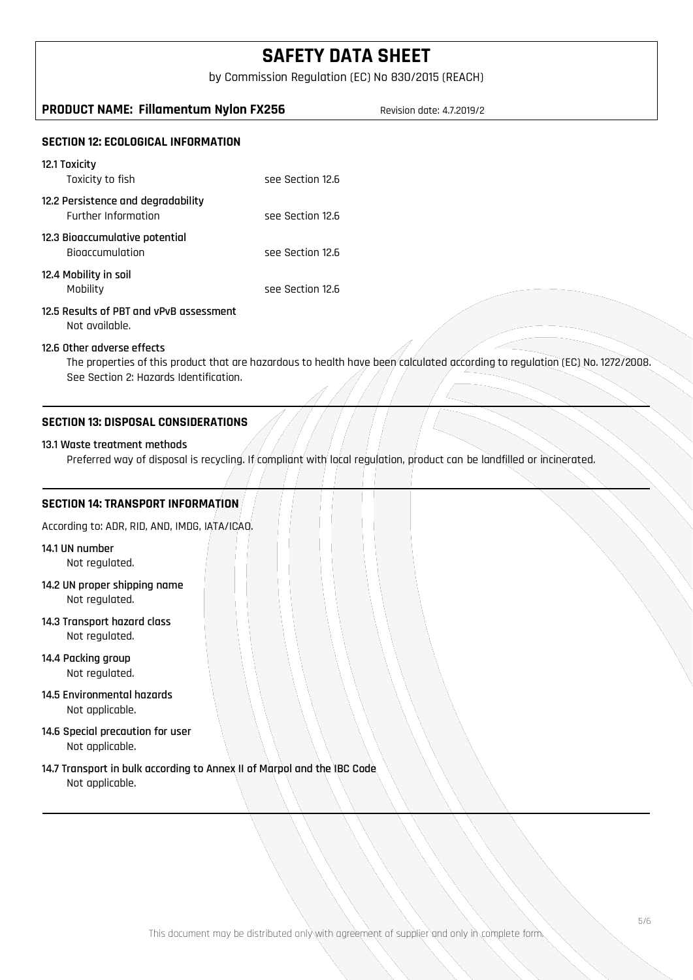by Commission Regulation (EC) No 830/2015 (REACH)

# **PRODUCT NAME: Fillamentum Nylon FX256** Revision date: 4.7.2019/2

# **SECTION 12: ECOLOGICAL INFORMATION**

| 12.1 Toxicity<br>Toxicity to fish                                | See Section 12.6 |
|------------------------------------------------------------------|------------------|
| 12.2 Persistence and degradability<br><b>Further Information</b> | see Section 12.6 |
| 12.3 Bioaccumulative potential<br><b>Biogccumulation</b>         | see Section 12.6 |
| 12.4 Mobility in soil<br>Mobility                                | See Section 12.6 |

# **12.5 Results of PBT and vPvB assessment**

Not available.

### **12.6 Other adverse effects**

The properties of this product that are hazardous to health have been calculated according to regulation (EC) No. 1272/2008. See Section 2: Hazards Identification.

## **SECTION 13: DISPOSAL CONSIDERATIONS**

### **13.1 Waste treatment methods**

Preferred way of disposal is recycling. If compliant with local regulation, product can be landfilled or incinerated.

### **SECTION 14: TRANSPORT INFORMATION**

According to: ADR, RID, AND, IMDG, IATA/ICAO.

- **14.1 UN number** Not regulated.
- **14.2 UN proper shipping name** Not regulated.
- **14.3 Transport hazard class** Not regulated.
- **14.4 Packing group** Not regulated.
- **14.5 Environmental hazards** Not applicable.
- **14.6 Special precaution for user** Not applicable.
- **14.7 Transport in bulk according to Annex II of Marpol and the IBC Code**  Not applicable.